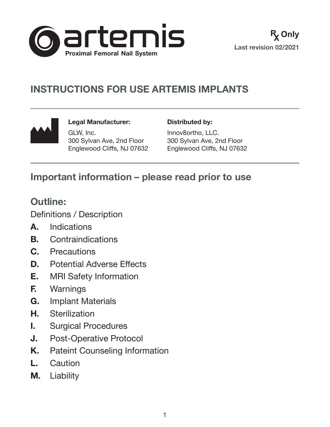

# **INSTRUCTIONS FOR USE ARTEMIS IMPLANTS**



**Legal Manufacturer:** GLW, Inc. 300 Sylvan Ave, 2nd Floor Englewood Cliffs, NJ 07632 **Distributed by:**

Innov8ortho, LLC. 300 Sylvan Ave, 2nd Floor Englewood Cliffs, NJ 07632

## **Important information – please read prior to use**

## **Outline:**

Definitions / Description

- **A.** Indications
- **B.** Contraindications
- **C.** Precautions
- **D.** Potential Adverse Effects
- **E.** MRI Safety Information
- **F.** Warnings
- **G.** Implant Materials
- **H.** Sterilization
- **I.** Surgical Procedures
- **J.** Post-Operative Protocol
- **K.** Pateint Counseling Information
- **L.** Caution
- **M.** Liability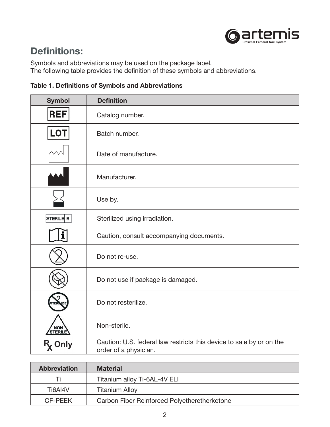

## **Definitions:**

Symbols and abbreviations may be used on the package label. The following table provides the definition of these symbols and abbreviations.

| <b>Table 1. Definitions of Symbols and Abbreviations</b> |
|----------------------------------------------------------|
|----------------------------------------------------------|

| <b>Symbol</b>             | <b>Definition</b>                                                                             |
|---------------------------|-----------------------------------------------------------------------------------------------|
| <b>REF</b>                | Catalog number.                                                                               |
| <b>LOT</b>                | Batch number.                                                                                 |
|                           | Date of manufacture.                                                                          |
|                           | Manufacturer.                                                                                 |
|                           | Use by.                                                                                       |
| STERILE R                 | Sterilized using irradiation.                                                                 |
|                           | Caution, consult accompanying documents.                                                      |
|                           | Do not re-use.                                                                                |
|                           | Do not use if package is damaged.                                                             |
|                           | Do not resterilize.                                                                           |
| STERILE                   | Non-sterile.                                                                                  |
| <b>R<sub>x</sub> Only</b> | Caution: U.S. federal law restricts this device to sale by or on the<br>order of a physician. |

| <b>Abbreviation</b> | <b>Material</b>                              |
|---------------------|----------------------------------------------|
|                     | Titanium alloy Ti-6AL-4V ELI                 |
| Ti6AI4V             | <b>Titanium Alloy</b>                        |
| <b>CF-PEEK</b>      | Carbon Fiber Reinforced Polyetheretherketone |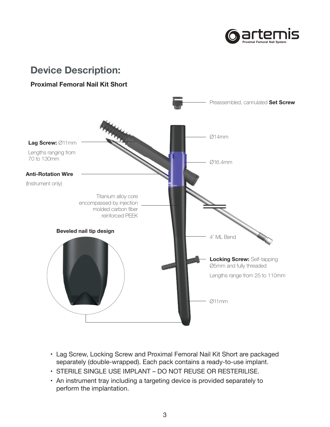

#### **Device Description:**

#### Proximal Femoral Nail Kit Short



- Lag Screw, Locking Screw and Proximal Femoral Nail Kit Short are packaged separately (double-wrapped). Each pack contains a ready-to-use implant.
- STERILE SINGLE USE IMPLANT DO NOT REUSE OR RESTERILISE.
- An instrument tray including a targeting device is provided separately to perform the implantation.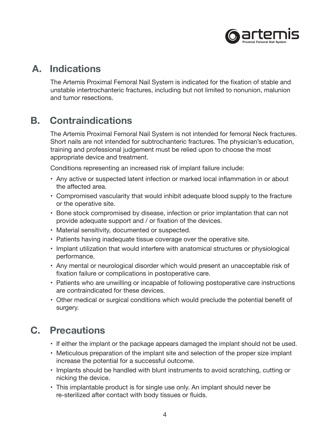

#### **A. Indications**

The Artemis Proximal Femoral Nail System is indicated for the fixation of stable and unstable intertrochanteric fractures, including but not limited to nonunion, malunion and tumor resections.

## **B. Contraindications**

The Artemis Proximal Femoral Nail System is not intended for femoral Neck fractures. Short nails are not intended for subtrochanteric fractures. The physician's education, training and professional judgement must be relied upon to choose the most appropriate device and treatment.

Conditions representing an increased risk of implant failure include:

- Any active or suspected latent infection or marked local inflammation in or about the affected area.
- Compromised vascularity that would inhibit adequate blood supply to the fracture or the operative site.
- Bone stock compromised by disease, infection or prior implantation that can not provide adequate support and / or fixation of the devices.
- Material sensitivity, documented or suspected.
- Patients having inadequate tissue coverage over the operative site.
- Implant utilization that would interfere with anatomical structures or physiological performance.
- Any mental or neurological disorder which would present an unacceptable risk of fixation failure or complications in postoperative care.
- Patients who are unwilling or incapable of following postoperative care instructions are contraindicated for these devices.
- Other medical or surgical conditions which would preclude the potential benefit of surgery.

## **C. Precautions**

- If either the implant or the package appears damaged the implant should not be used.
- Meticulous preparation of the implant site and selection of the proper size implant increase the potential for a successful outcome.
- Implants should be handled with blunt instruments to avoid scratching, cutting or nicking the device.
- This implantable product is for single use only. An implant should never be re-sterilized after contact with body tissues or fluids.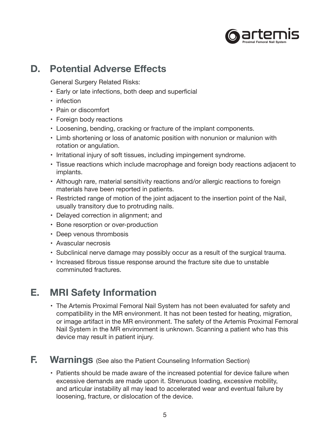

#### **D. Potential Adverse Effects**

General Surgery Related Risks:

- Early or late infections, both deep and superficial
- infection
- Pain or discomfort
- Foreign body reactions
- Loosening, bending, cracking or fracture of the implant components.
- Limb shortening or loss of anatomic position with nonunion or malunion with rotation or angulation.
- Irritational injury of soft tissues, including impingement syndrome.
- Tissue reactions which include macrophage and foreign body reactions adjacent to implants.
- Although rare, material sensitivity reactions and/or allergic reactions to foreign materials have been reported in patients.
- Restricted range of motion of the joint adjacent to the insertion point of the Nail, usually transitory due to protruding nails.
- Delayed correction in alignment; and
- Bone resorption or over-production
- Deep venous thrombosis
- Avascular necrosis
- Subclinical nerve damage may possibly occur as a result of the surgical trauma.
- Increased fibrous tissue response around the fracture site due to unstable comminuted fractures.

### **E. MRI Safety Information**

• The Artemis Proximal Femoral Nail System has not been evaluated for safety and compatibility in the MR environment. It has not been tested for heating, migration, or image artifact in the MR environment. The safety of the Artemis Proximal Femoral Nail System in the MR environment is unknown. Scanning a patient who has this device may result in patient injury.

#### **F. Warnings** (See also the Patient Counseling Information Section)

• Patients should be made aware of the increased potential for device failure when excessive demands are made upon it. Strenuous loading, excessive mobility, and articular instability all may lead to accelerated wear and eventual failure by loosening, fracture, or dislocation of the device.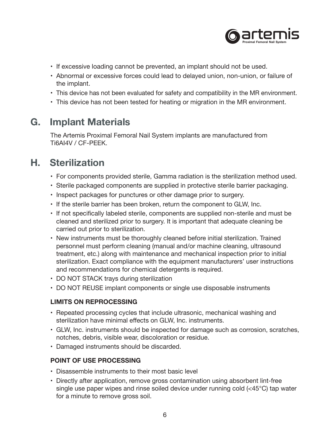

- If excessive loading cannot be prevented, an implant should not be used.
- Abnormal or excessive forces could lead to delayed union, non-union, or failure of the implant.
- This device has not been evaluated for safety and compatibility in the MR environment.
- This device has not been tested for heating or migration in the MR environment.

#### **G. Implant Materials**

The Artemis Proximal Femoral Nail System implants are manufactured from Ti6AI4V / CF-PEEK.

### **H. Sterilization**

- For components provided sterile, Gamma radiation is the sterilization method used.
- Sterile packaged components are supplied in protective sterile barrier packaging.
- Inspect packages for punctures or other damage prior to surgery.
- If the sterile barrier has been broken, return the component to GLW, Inc.
- If not specifically labeled sterile, components are supplied non-sterile and must be cleaned and sterilized prior to surgery. It is important that adequate cleaning be carried out prior to sterilization.
- New instruments must be thoroughly cleaned before initial sterilization. Trained personnel must perform cleaning (manual and/or machine cleaning, ultrasound treatment, etc.) along with maintenance and mechanical inspection prior to initial sterilization. Exact compliance with the equipment manufacturers' user instructions and recommendations for chemical detergents is required.
- DO NOT STACK trays during sterilization
- DO NOT REUSE implant components or single use disposable instruments

#### **LIMITS ON REPROCESSING**

- Repeated processing cycles that include ultrasonic, mechanical washing and sterilization have minimal effects on GLW, Inc. instruments.
- GLW, Inc. instruments should be inspected for damage such as corrosion, scratches, notches, debris, visible wear, discoloration or residue.
- Damaged instruments should be discarded.

#### **POINT OF USE PROCESSING**

- Disassemble instruments to their most basic level
- Directly after application, remove gross contamination using absorbent lint-free single use paper wipes and rinse soiled device under running cold (<45°C) tap water for a minute to remove gross soil.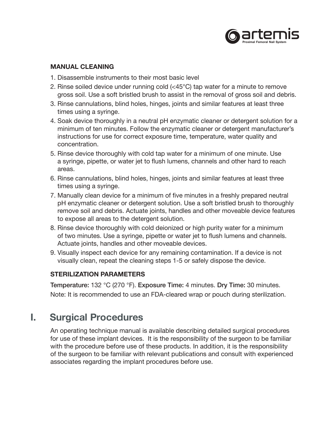

#### **MANUAL CLEANING**

- 1. Disassemble instruments to their most basic level
- 2. Rinse soiled device under running cold (<45°C) tap water for a minute to remove gross soil. Use a soft bristled brush to assist in the removal of gross soil and debris.
- 3. Rinse cannulations, blind holes, hinges, joints and similar features at least three times using a syringe.
- 4. Soak device thoroughly in a neutral pH enzymatic cleaner or detergent solution for a minimum of ten minutes. Follow the enzymatic cleaner or detergent manufacturer's instructions for use for correct exposure time, temperature, water quality and concentration.
- 5. Rinse device thoroughly with cold tap water for a minimum of one minute. Use a syringe, pipette, or water jet to flush lumens, channels and other hard to reach areas.
- 6. Rinse cannulations, blind holes, hinges, joints and similar features at least three times using a syringe.
- 7. Manually clean device for a minimum of five minutes in a freshly prepared neutral pH enzymatic cleaner or detergent solution. Use a soft bristled brush to thoroughly remove soil and debris. Actuate joints, handles and other moveable device features to expose all areas to the detergent solution.
- 8. Rinse device thoroughly with cold deionized or high purity water for a minimum of two minutes. Use a syringe, pipette or water jet to flush lumens and channels. Actuate joints, handles and other moveable devices.
- 9. Visually inspect each device for any remaining contamination. If a device is not visually clean, repeat the cleaning steps 1-5 or safely dispose the device.

#### **STERILIZATION PARAMETERS**

Temperature: 132 °C (270 °F). Exposure Time: 4 minutes. Dry Time: 30 minutes. Note: It is recommended to use an FDA-cleared wrap or pouch during sterilization.

### **I. Surgical Procedures**

An operating technique manual is available describing detailed surgical procedures for use of these implant devices. It is the responsibility of the surgeon to be familiar with the procedure before use of these products. In addition, it is the responsibility of the surgeon to be familiar with relevant publications and consult with experienced associates regarding the implant procedures before use.